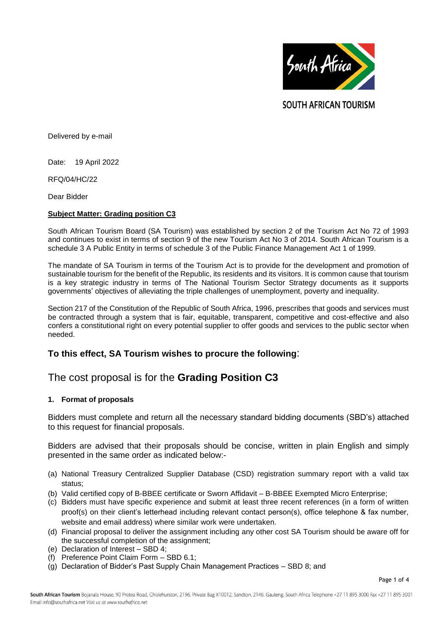

**SOUTH AFRICAN TOURISM** 

Delivered by e-mail

Date: 19 April 2022

RFQ/04/HC/22

Dear Bidder

## **Subject Matter: Grading position C3**

South African Tourism Board (SA Tourism) was established by section 2 of the Tourism Act No 72 of 1993 and continues to exist in terms of section 9 of the new Tourism Act No 3 of 2014. South African Tourism is a schedule 3 A Public Entity in terms of schedule 3 of the Public Finance Management Act 1 of 1999.

The mandate of SA Tourism in terms of the Tourism Act is to provide for the development and promotion of sustainable tourism for the benefit of the Republic, its residents and its visitors. It is common cause that tourism is a key strategic industry in terms of The National Tourism Sector Strategy documents as it supports governments' objectives of alleviating the triple challenges of unemployment, poverty and inequality.

Section 217 of the Constitution of the Republic of South Africa, 1996, prescribes that goods and services must be contracted through a system that is fair, equitable, transparent, competitive and cost-effective and also confers a constitutional right on every potential supplier to offer goods and services to the public sector when needed.

# **To this effect, SA Tourism wishes to procure the following**:

# The cost proposal is for the **Grading Position C3**

## **1. Format of proposals**

Bidders must complete and return all the necessary standard bidding documents (SBD's) attached to this request for financial proposals.

Bidders are advised that their proposals should be concise, written in plain English and simply presented in the same order as indicated below:-

- (a) National Treasury Centralized Supplier Database (CSD) registration summary report with a valid tax status;
- (b) Valid certified copy of B-BBEE certificate or Sworn Affidavit B-BBEE Exempted Micro Enterprise;
- (c) Bidders must have specific experience and submit at least three recent references (in a form of written proof(s) on their client's letterhead including relevant contact person(s), office telephone & fax number, website and email address) where similar work were undertaken.
- (d) Financial proposal to deliver the assignment including any other cost SA Tourism should be aware off for the successful completion of the assignment;
- (e) Declaration of Interest SBD 4;
- (f) Preference Point Claim Form SBD 6.1;
- (g) Declaration of Bidder's Past Supply Chain Management Practices SBD 8; and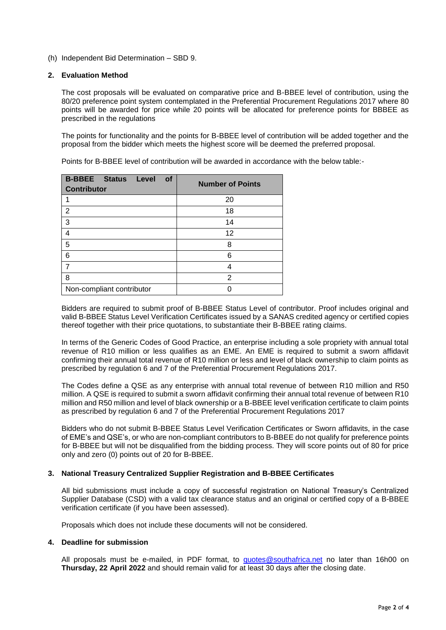(h) Independent Bid Determination – SBD 9.

## **2. Evaluation Method**

The cost proposals will be evaluated on comparative price and B-BBEE level of contribution, using the 80/20 preference point system contemplated in the Preferential Procurement Regulations 2017 where 80 points will be awarded for price while 20 points will be allocated for preference points for BBBEE as prescribed in the regulations

The points for functionality and the points for B-BBEE level of contribution will be added together and the proposal from the bidder which meets the highest score will be deemed the preferred proposal.

Points for B-BBEE level of contribution will be awarded in accordance with the below table:-

| <b>B-BBEE</b> Status<br>Level<br><b>of</b><br><b>Contributor</b> | <b>Number of Points</b> |
|------------------------------------------------------------------|-------------------------|
|                                                                  | 20                      |
| 2                                                                | 18                      |
| 3                                                                | 14                      |
| 4                                                                | 12                      |
| 5                                                                | 8                       |
| 6                                                                | 6                       |
| 7                                                                |                         |
| 8                                                                | 2                       |
| Non-compliant contributor                                        |                         |

Bidders are required to submit proof of B-BBEE Status Level of contributor. Proof includes original and valid B-BBEE Status Level Verification Certificates issued by a SANAS credited agency or certified copies thereof together with their price quotations, to substantiate their B-BBEE rating claims.

In terms of the Generic Codes of Good Practice, an enterprise including a sole propriety with annual total revenue of R10 million or less qualifies as an EME. An EME is required to submit a sworn affidavit confirming their annual total revenue of R10 million or less and level of black ownership to claim points as prescribed by regulation 6 and 7 of the Preferential Procurement Regulations 2017.

The Codes define a QSE as any enterprise with annual total revenue of between R10 million and R50 million. A QSE is required to submit a sworn affidavit confirming their annual total revenue of between R10 million and R50 million and level of black ownership or a B-BBEE level verification certificate to claim points as prescribed by regulation 6 and 7 of the Preferential Procurement Regulations 2017

Bidders who do not submit B-BBEE Status Level Verification Certificates or Sworn affidavits, in the case of EME's and QSE's, or who are non-compliant contributors to B-BBEE do not qualify for preference points for B-BBEE but will not be disqualified from the bidding process. They will score points out of 80 for price only and zero (0) points out of 20 for B-BBEE.

## **3. National Treasury Centralized Supplier Registration and B-BBEE Certificates**

All bid submissions must include a copy of successful registration on National Treasury's Centralized Supplier Database (CSD) with a valid tax clearance status and an original or certified copy of a B-BBEE verification certificate (if you have been assessed).

Proposals which does not include these documents will not be considered.

## **4. Deadline for submission**

All proposals must be e-mailed, in PDF format, to **[quotes@southafrica.net](mailto:quotes@southafrica.net)** no later than 16h00 on **Thursday, 22 April 2022** and should remain valid for at least 30 days after the closing date.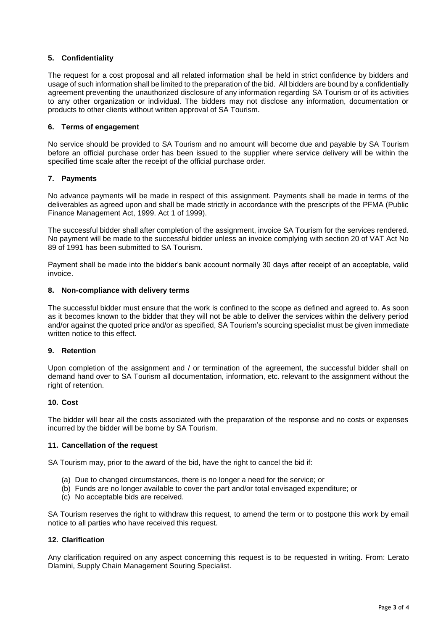## **5. Confidentiality**

The request for a cost proposal and all related information shall be held in strict confidence by bidders and usage of such information shall be limited to the preparation of the bid. All bidders are bound by a confidentially agreement preventing the unauthorized disclosure of any information regarding SA Tourism or of its activities to any other organization or individual. The bidders may not disclose any information, documentation or products to other clients without written approval of SA Tourism.

## **6. Terms of engagement**

No service should be provided to SA Tourism and no amount will become due and payable by SA Tourism before an official purchase order has been issued to the supplier where service delivery will be within the specified time scale after the receipt of the official purchase order.

## **7. Payments**

No advance payments will be made in respect of this assignment. Payments shall be made in terms of the deliverables as agreed upon and shall be made strictly in accordance with the prescripts of the PFMA (Public Finance Management Act, 1999. Act 1 of 1999).

The successful bidder shall after completion of the assignment, invoice SA Tourism for the services rendered. No payment will be made to the successful bidder unless an invoice complying with section 20 of VAT Act No 89 of 1991 has been submitted to SA Tourism.

Payment shall be made into the bidder's bank account normally 30 days after receipt of an acceptable, valid invoice.

# **8. Non-compliance with delivery terms**

The successful bidder must ensure that the work is confined to the scope as defined and agreed to. As soon as it becomes known to the bidder that they will not be able to deliver the services within the delivery period and/or against the quoted price and/or as specified, SA Tourism's sourcing specialist must be given immediate written notice to this effect.

## **9. Retention**

Upon completion of the assignment and / or termination of the agreement, the successful bidder shall on demand hand over to SA Tourism all documentation, information, etc. relevant to the assignment without the right of retention.

## **10. Cost**

The bidder will bear all the costs associated with the preparation of the response and no costs or expenses incurred by the bidder will be borne by SA Tourism.

## **11. Cancellation of the request**

SA Tourism may, prior to the award of the bid, have the right to cancel the bid if:

- (a) Due to changed circumstances, there is no longer a need for the service; or
- (b) Funds are no longer available to cover the part and/or total envisaged expenditure; or
- (c) No acceptable bids are received.

SA Tourism reserves the right to withdraw this request, to amend the term or to postpone this work by email notice to all parties who have received this request.

## **12. Clarification**

Any clarification required on any aspect concerning this request is to be requested in writing. From: Lerato Dlamini, Supply Chain Management Souring Specialist.